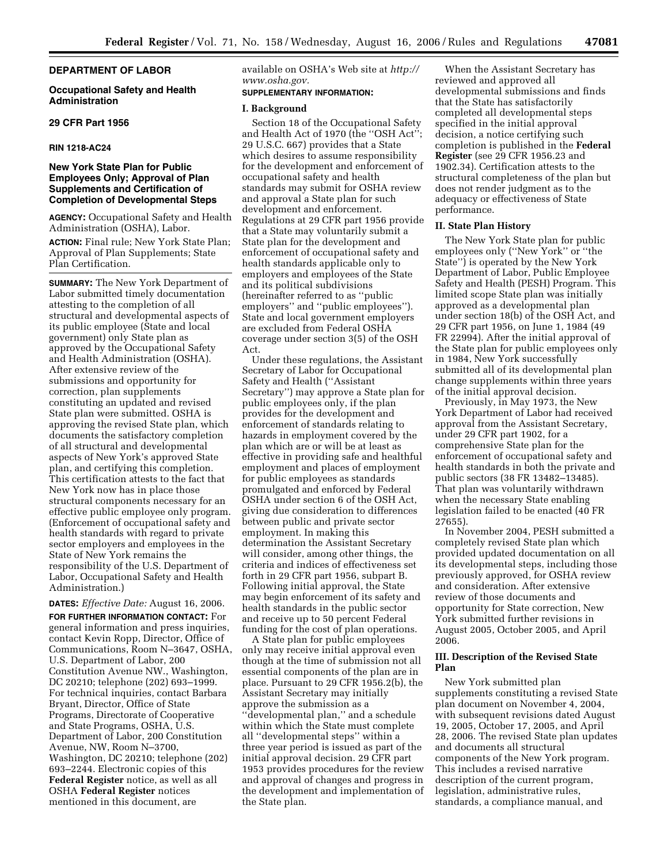# **DEPARTMENT OF LABOR**

### **Occupational Safety and Health Administration**

### **29 CFR Part 1956**

## **RIN 1218-AC24**

# **New York State Plan for Public Employees Only; Approval of Plan Supplements and Certification of Completion of Developmental Steps**

**AGENCY:** Occupational Safety and Health Administration (OSHA), Labor.

**ACTION:** Final rule; New York State Plan; Approval of Plan Supplements; State Plan Certification.

**SUMMARY:** The New York Department of Labor submitted timely documentation attesting to the completion of all structural and developmental aspects of its public employee (State and local government) only State plan as approved by the Occupational Safety and Health Administration (OSHA). After extensive review of the submissions and opportunity for correction, plan supplements constituting an updated and revised State plan were submitted. OSHA is approving the revised State plan, which documents the satisfactory completion of all structural and developmental aspects of New York's approved State plan, and certifying this completion. This certification attests to the fact that New York now has in place those structural components necessary for an effective public employee only program. (Enforcement of occupational safety and health standards with regard to private sector employers and employees in the State of New York remains the responsibility of the U.S. Department of Labor, Occupational Safety and Health Administration.)

## **DATES:** *Effective Date:* August 16, 2006.

**FOR FURTHER INFORMATION CONTACT:** For general information and press inquiries, contact Kevin Ropp, Director, Office of Communications, Room N–3647, OSHA, U.S. Department of Labor, 200 Constitution Avenue NW., Washington, DC 20210; telephone (202) 693–1999. For technical inquiries, contact Barbara Bryant, Director, Office of State Programs, Directorate of Cooperative and State Programs, OSHA, U.S. Department of Labor, 200 Constitution Avenue, NW, Room N–3700, Washington, DC 20210; telephone (202) 693–2244. Electronic copies of this **Federal Register** notice, as well as all OSHA **Federal Register** notices mentioned in this document, are

available on OSHA's Web site at *[http://](http://www.osha.gov) [www.osha.gov.](http://www.osha.gov)* 

## **SUPPLEMENTARY INFORMATION:**

#### **I. Background**

Section 18 of the Occupational Safety and Health Act of 1970 (the ''OSH Act''; 29 U.S.C. 667) provides that a State which desires to assume responsibility for the development and enforcement of occupational safety and health standards may submit for OSHA review and approval a State plan for such development and enforcement. Regulations at 29 CFR part 1956 provide that a State may voluntarily submit a State plan for the development and enforcement of occupational safety and health standards applicable only to employers and employees of the State and its political subdivisions (hereinafter referred to as ''public employers'' and ''public employees''). State and local government employers are excluded from Federal OSHA coverage under section 3(5) of the OSH Act.

Under these regulations, the Assistant Secretary of Labor for Occupational Safety and Health (''Assistant Secretary'') may approve a State plan for public employees only, if the plan provides for the development and enforcement of standards relating to hazards in employment covered by the plan which are or will be at least as effective in providing safe and healthful employment and places of employment for public employees as standards promulgated and enforced by Federal OSHA under section 6 of the OSH Act, giving due consideration to differences between public and private sector employment. In making this determination the Assistant Secretary will consider, among other things, the criteria and indices of effectiveness set forth in 29 CFR part 1956, subpart B. Following initial approval, the State may begin enforcement of its safety and health standards in the public sector and receive up to 50 percent Federal funding for the cost of plan operations.

A State plan for public employees only may receive initial approval even though at the time of submission not all essential components of the plan are in place. Pursuant to 29 CFR 1956.2(b), the Assistant Secretary may initially approve the submission as a ''developmental plan,'' and a schedule within which the State must complete all ''developmental steps'' within a three year period is issued as part of the initial approval decision. 29 CFR part 1953 provides procedures for the review and approval of changes and progress in the development and implementation of the State plan.

When the Assistant Secretary has reviewed and approved all developmental submissions and finds that the State has satisfactorily completed all developmental steps specified in the initial approval decision, a notice certifying such completion is published in the **Federal Register** (see 29 CFR 1956.23 and 1902.34). Certification attests to the structural completeness of the plan but does not render judgment as to the adequacy or effectiveness of State performance.

## **II. State Plan History**

The New York State plan for public employees only (''New York'' or ''the State'') is operated by the New York Department of Labor, Public Employee Safety and Health (PESH) Program. This limited scope State plan was initially approved as a developmental plan under section 18(b) of the OSH Act, and 29 CFR part 1956, on June 1, 1984 (49 FR 22994). After the initial approval of the State plan for public employees only in 1984, New York successfully submitted all of its developmental plan change supplements within three years of the initial approval decision.

Previously, in May 1973, the New York Department of Labor had received approval from the Assistant Secretary, under 29 CFR part 1902, for a comprehensive State plan for the enforcement of occupational safety and health standards in both the private and public sectors (38 FR 13482–13485). That plan was voluntarily withdrawn when the necessary State enabling legislation failed to be enacted (40 FR 27655).

In November 2004, PESH submitted a completely revised State plan which provided updated documentation on all its developmental steps, including those previously approved, for OSHA review and consideration. After extensive review of those documents and opportunity for State correction, New York submitted further revisions in August 2005, October 2005, and April 2006.

# **III. Description of the Revised State Plan**

New York submitted plan supplements constituting a revised State plan document on November 4, 2004, with subsequent revisions dated August 19, 2005, October 17, 2005, and April 28, 2006. The revised State plan updates and documents all structural components of the New York program. This includes a revised narrative description of the current program, legislation, administrative rules, standards, a compliance manual, and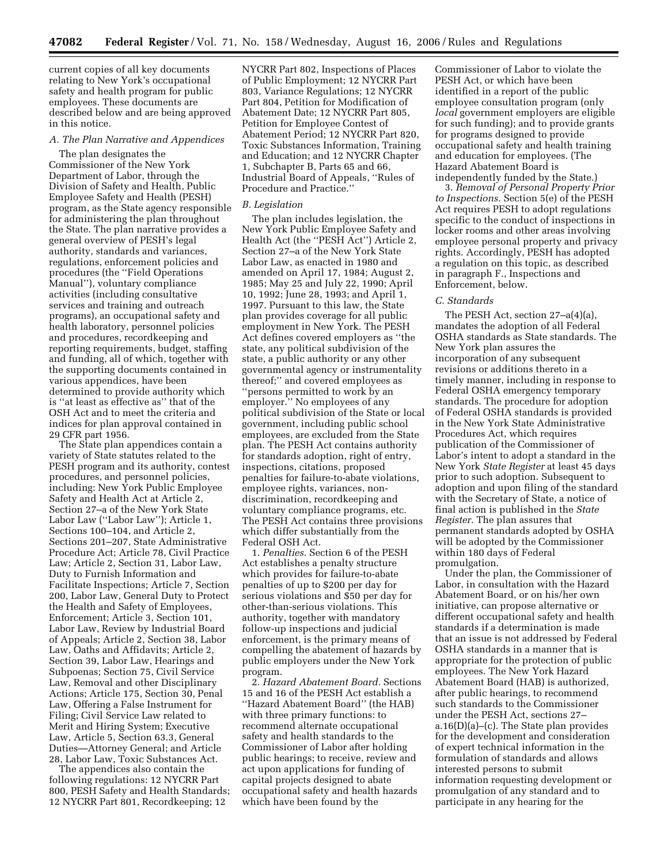current copies of all key documents relating to New York's occupational safety and health program for public employees. These documents are described below and are being approved in this notice.

#### *A. The Plan Narrative and Appendices*

The plan designates the Commissioner of the New York Department of Labor, through the Division of Safety and Health, Public Employee Safety and Health (PESH) program, as the State agency responsible for administering the plan throughout the State. The plan narrative provides a general overview of PESH's legal authority, standards and variances, regulations, enforcement policies and procedures (the ''Field Operations Manual''), voluntary compliance activities (including consultative services and training and outreach programs), an occupational safety and health laboratory, personnel policies and procedures, recordkeeping and reporting requirements, budget, staffing and funding, all of which, together with the supporting documents contained in various appendices, have been determined to provide authority which is ''at least as effective as'' that of the OSH Act and to meet the criteria and indices for plan approval contained in 29 CFR part 1956.

The State plan appendices contain a variety of State statutes related to the PESH program and its authority, contest procedures, and personnel policies, including: New York Public Employee Safety and Health Act at Article 2, Section 27–a of the New York State Labor Law (''Labor Law''); Article 1, Sections 100–104, and Article 2, Sections 201–207, State Administrative Procedure Act; Article 78, Civil Practice Law; Article 2, Section 31, Labor Law, Duty to Furnish Information and Facilitate Inspections; Article 7, Section 200, Labor Law, General Duty to Protect the Health and Safety of Employees, Enforcement; Article 3, Section 101, Labor Law, Review by Industrial Board of Appeals; Article 2, Section 38, Labor Law, Oaths and Affidavits; Article 2, Section 39, Labor Law, Hearings and Subpoenas; Section 75, Civil Service Law, Removal and other Disciplinary Actions; Article 175, Section 30, Penal Law, Offering a False Instrument for Filing; Civil Service Law related to Merit and Hiring System; Executive Law, Article 5, Section 63.3, General Duties—Attorney General; and Article 28, Labor Law, Toxic Substances Act.

The appendices also contain the following regulations: 12 NYCRR Part 800, PESH Safety and Health Standards; 12 NYCRR Part 801, Recordkeeping; 12

NYCRR Part 802, Inspections of Places of Public Employment; 12 NYCRR Part 803, Variance Regulations; 12 NYCRR Part 804, Petition for Modification of Abatement Date; 12 NYCRR Part 805, Petition for Employee Contest of Abatement Period; 12 NYCRR Part 820, Toxic Substances Information, Training and Education; and 12 NYCRR Chapter 1, Subchapter B, Parts 65 and 66, Industrial Board of Appeals, ''Rules of Procedure and Practice.''

### *B. Legislation*

The plan includes legislation, the New York Public Employee Safety and Health Act (the "PESH Act") Article 2, Section 27–a of the New York State Labor Law, as enacted in 1980 and amended on April 17, 1984; August 2, 1985; May 25 and July 22, 1990; April 10, 1992; June 28, 1993; and April 1, 1997. Pursuant to this law, the State plan provides coverage for all public employment in New York. The PESH Act defines covered employers as ''the state, any political subdivision of the state, a public authority or any other governmental agency or instrumentality thereof;'' and covered employees as ''persons permitted to work by an employer.'' No employees of any political subdivision of the State or local government, including public school employees, are excluded from the State plan. The PESH Act contains authority for standards adoption, right of entry, inspections, citations, proposed penalties for failure-to-abate violations, employee rights, variances, nondiscrimination, recordkeeping and voluntary compliance programs, etc. The PESH Act contains three provisions which differ substantially from the Federal OSH Act.

1. *Penalties.* Section 6 of the PESH Act establishes a penalty structure which provides for failure-to-abate penalties of up to \$200 per day for serious violations and \$50 per day for other-than-serious violations. This authority, together with mandatory follow-up inspections and judicial enforcement, is the primary means of compelling the abatement of hazards by public employers under the New York program.

2. *Hazard Abatement Board.* Sections 15 and 16 of the PESH Act establish a ''Hazard Abatement Board'' (the HAB) with three primary functions: to recommend alternate occupational safety and health standards to the Commissioner of Labor after holding public hearings; to receive, review and act upon applications for funding of capital projects designed to abate occupational safety and health hazards which have been found by the

Commissioner of Labor to violate the PESH Act, or which have been identified in a report of the public employee consultation program (only *local* government employers are eligible for such funding); and to provide grants for programs designed to provide occupational safety and health training and education for employees. (The Hazard Abatement Board is independently funded by the State.)

3. *Removal of Personal Property Prior to Inspections.* Section 5(e) of the PESH Act requires PESH to adopt regulations specific to the conduct of inspections in locker rooms and other areas involving employee personal property and privacy rights. Accordingly, PESH has adopted a regulation on this topic, as described in paragraph F., Inspections and Enforcement, below.

#### *C. Standards*

The PESH Act, section 27–a(4)(a), mandates the adoption of all Federal OSHA standards as State standards. The New York plan assures the incorporation of any subsequent revisions or additions thereto in a timely manner, including in response to Federal OSHA emergency temporary standards. The procedure for adoption of Federal OSHA standards is provided in the New York State Administrative Procedures Act, which requires publication of the Commissioner of Labor's intent to adopt a standard in the New York *State Register* at least 45 days prior to such adoption. Subsequent to adoption and upon filing of the standard with the Secretary of State, a notice of final action is published in the *State Register.* The plan assures that permanent standards adopted by OSHA will be adopted by the Commissioner within 180 days of Federal promulgation.

Under the plan, the Commissioner of Labor, in consultation with the Hazard Abatement Board, or on his/her own initiative, can propose alternative or different occupational safety and health standards if a determination is made that an issue is not addressed by Federal OSHA standards in a manner that is appropriate for the protection of public employees. The New York Hazard Abatement Board (HAB) is authorized, after public hearings, to recommend such standards to the Commissioner under the PESH Act, sections 27– a.16(D)(a)–(c). The State plan provides for the development and consideration of expert technical information in the formulation of standards and allows interested persons to submit information requesting development or promulgation of any standard and to participate in any hearing for the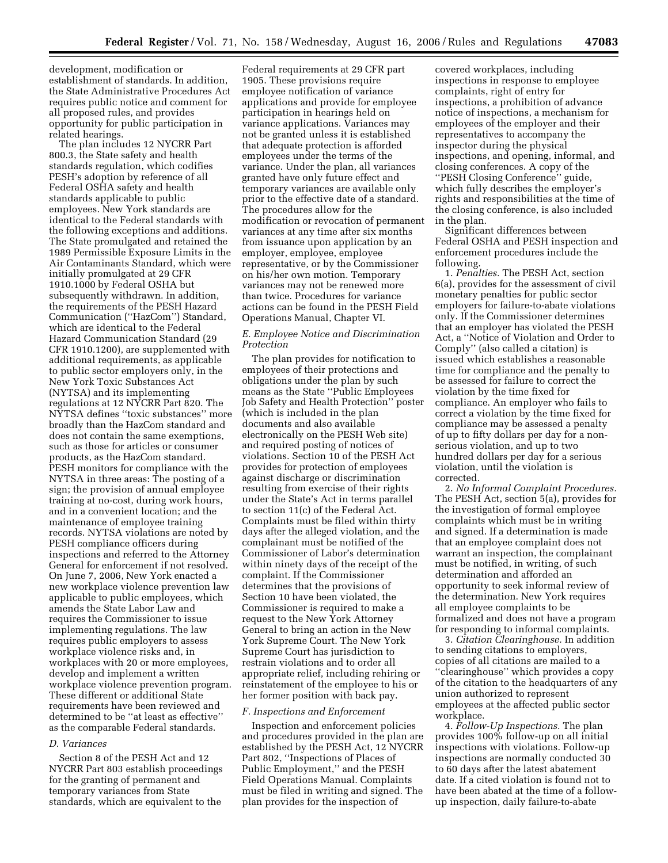development, modification or establishment of standards. In addition, the State Administrative Procedures Act requires public notice and comment for all proposed rules, and provides opportunity for public participation in related hearings.

The plan includes 12 NYCRR Part 800.3, the State safety and health standards regulation, which codifies PESH's adoption by reference of all Federal OSHA safety and health standards applicable to public employees. New York standards are identical to the Federal standards with the following exceptions and additions. The State promulgated and retained the 1989 Permissible Exposure Limits in the Air Contaminants Standard, which were initially promulgated at 29 CFR 1910.1000 by Federal OSHA but subsequently withdrawn. In addition, the requirements of the PESH Hazard Communication (''HazCom'') Standard, which are identical to the Federal Hazard Communication Standard (29 CFR 1910.1200), are supplemented with additional requirements, as applicable to public sector employers only, in the New York Toxic Substances Act (NYTSA) and its implementing regulations at 12 NYCRR Part 820. The NYTSA defines ''toxic substances'' more broadly than the HazCom standard and does not contain the same exemptions, such as those for articles or consumer products, as the HazCom standard. PESH monitors for compliance with the NYTSA in three areas: The posting of a sign; the provision of annual employee training at no-cost, during work hours, and in a convenient location; and the maintenance of employee training records. NYTSA violations are noted by PESH compliance officers during inspections and referred to the Attorney General for enforcement if not resolved. On June 7, 2006, New York enacted a new workplace violence prevention law applicable to public employees, which amends the State Labor Law and requires the Commissioner to issue implementing regulations. The law requires public employers to assess workplace violence risks and, in workplaces with 20 or more employees, develop and implement a written workplace violence prevention program. These different or additional State requirements have been reviewed and determined to be ''at least as effective'' as the comparable Federal standards.

#### *D. Variances*

Section 8 of the PESH Act and 12 NYCRR Part 803 establish proceedings for the granting of permanent and temporary variances from State standards, which are equivalent to the

Federal requirements at 29 CFR part 1905. These provisions require employee notification of variance applications and provide for employee participation in hearings held on variance applications. Variances may not be granted unless it is established that adequate protection is afforded employees under the terms of the variance. Under the plan, all variances granted have only future effect and temporary variances are available only prior to the effective date of a standard. The procedures allow for the modification or revocation of permanent variances at any time after six months from issuance upon application by an employer, employee, employee representative, or by the Commissioner on his/her own motion. Temporary variances may not be renewed more than twice. Procedures for variance actions can be found in the PESH Field Operations Manual, Chapter VI.

## *E. Employee Notice and Discrimination Protection*

The plan provides for notification to employees of their protections and obligations under the plan by such means as the State ''Public Employees Job Safety and Health Protection'' poster (which is included in the plan documents and also available electronically on the PESH Web site) and required posting of notices of violations. Section 10 of the PESH Act provides for protection of employees against discharge or discrimination resulting from exercise of their rights under the State's Act in terms parallel to section 11(c) of the Federal Act. Complaints must be filed within thirty days after the alleged violation, and the complainant must be notified of the Commissioner of Labor's determination within ninety days of the receipt of the complaint. If the Commissioner determines that the provisions of Section 10 have been violated, the Commissioner is required to make a request to the New York Attorney General to bring an action in the New York Supreme Court. The New York Supreme Court has jurisdiction to restrain violations and to order all appropriate relief, including rehiring or reinstatement of the employee to his or her former position with back pay.

## *F. Inspections and Enforcement*

Inspection and enforcement policies and procedures provided in the plan are established by the PESH Act, 12 NYCRR Part 802, ''Inspections of Places of Public Employment," and the PESH Field Operations Manual. Complaints must be filed in writing and signed. The plan provides for the inspection of

covered workplaces, including inspections in response to employee complaints, right of entry for inspections, a prohibition of advance notice of inspections, a mechanism for employees of the employer and their representatives to accompany the inspector during the physical inspections, and opening, informal, and closing conferences. A copy of the ''PESH Closing Conference'' guide, which fully describes the employer's rights and responsibilities at the time of the closing conference, is also included in the plan.

Significant differences between Federal OSHA and PESH inspection and enforcement procedures include the following.

1. *Penalties.* The PESH Act, section 6(a), provides for the assessment of civil monetary penalties for public sector employers for failure-to-abate violations only. If the Commissioner determines that an employer has violated the PESH Act, a ''Notice of Violation and Order to Comply'' (also called a citation) is issued which establishes a reasonable time for compliance and the penalty to be assessed for failure to correct the violation by the time fixed for compliance. An employer who fails to correct a violation by the time fixed for compliance may be assessed a penalty of up to fifty dollars per day for a nonserious violation, and up to two hundred dollars per day for a serious violation, until the violation is corrected.

2. *No Informal Complaint Procedures.*  The PESH Act, section 5(a), provides for the investigation of formal employee complaints which must be in writing and signed. If a determination is made that an employee complaint does not warrant an inspection, the complainant must be notified, in writing, of such determination and afforded an opportunity to seek informal review of the determination. New York requires all employee complaints to be formalized and does not have a program for responding to informal complaints.

3. *Citation Clearinghouse.* In addition to sending citations to employers, copies of all citations are mailed to a ''clearinghouse'' which provides a copy of the citation to the headquarters of any union authorized to represent employees at the affected public sector workplace.

4. *Follow-Up Inspections.* The plan provides 100% follow-up on all initial inspections with violations. Follow-up inspections are normally conducted 30 to 60 days after the latest abatement date. If a cited violation is found not to have been abated at the time of a followup inspection, daily failure-to-abate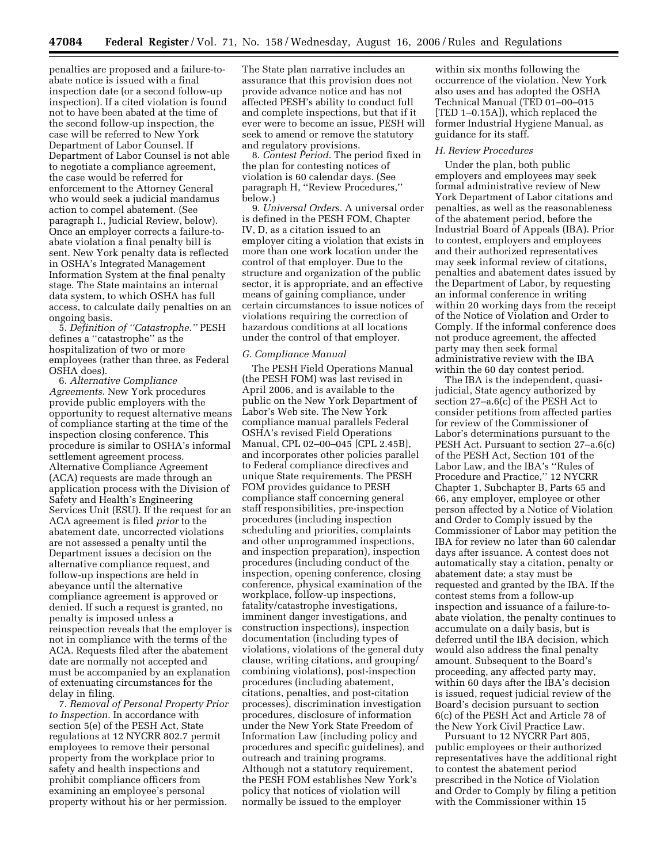penalties are proposed and a failure-toabate notice is issued with a final inspection date (or a second follow-up inspection). If a cited violation is found not to have been abated at the time of the second follow-up inspection, the case will be referred to New York Department of Labor Counsel. If Department of Labor Counsel is not able to negotiate a compliance agreement, the case would be referred for enforcement to the Attorney General who would seek a judicial mandamus action to compel abatement. (See paragraph I., Judicial Review, below). Once an employer corrects a failure-toabate violation a final penalty bill is sent. New York penalty data is reflected in OSHA's Integrated Management Information System at the final penalty stage. The State maintains an internal data system, to which OSHA has full access, to calculate daily penalties on an ongoing basis.

5. *Definition of ''Catastrophe.''* PESH defines a ''catastrophe'' as the hospitalization of two or more employees (rather than three, as Federal OSHA does).

6. *Alternative Compliance Agreements.* New York procedures provide public employers with the opportunity to request alternative means of compliance starting at the time of the inspection closing conference. This procedure is similar to OSHA's informal settlement agreement process. Alternative Compliance Agreement (ACA) requests are made through an application process with the Division of Safety and Health's Engineering Services Unit (ESU). If the request for an ACA agreement is filed *prior* to the abatement date, uncorrected violations are not assessed a penalty until the Department issues a decision on the alternative compliance request, and follow-up inspections are held in abeyance until the alternative compliance agreement is approved or denied. If such a request is granted, no penalty is imposed unless a reinspection reveals that the employer is not in compliance with the terms of the ACA. Requests filed after the abatement date are normally not accepted and must be accompanied by an explanation of extenuating circumstances for the delay in filing.

7. *Removal of Personal Property Prior to Inspection.* In accordance with section 5(e) of the PESH Act, State regulations at 12 NYCRR 802.7 permit employees to remove their personal property from the workplace prior to safety and health inspections and prohibit compliance officers from examining an employee's personal property without his or her permission.

The State plan narrative includes an assurance that this provision does not provide advance notice and has not affected PESH's ability to conduct full and complete inspections, but that if it ever were to become an issue, PESH will seek to amend or remove the statutory and regulatory provisions.

8. *Contest Period.* The period fixed in the plan for contesting notices of violation is 60 calendar days. (See paragraph H, ''Review Procedures,'' below.)

9. *Universal Orders.* A universal order is defined in the PESH FOM, Chapter IV, D, as a citation issued to an employer citing a violation that exists in more than one work location under the control of that employer. Due to the structure and organization of the public sector, it is appropriate, and an effective means of gaining compliance, under certain circumstances to issue notices of violations requiring the correction of hazardous conditions at all locations under the control of that employer.

### *G. Compliance Manual*

The PESH Field Operations Manual (the PESH FOM) was last revised in April 2006, and is available to the public on the New York Department of Labor's Web site. The New York compliance manual parallels Federal OSHA's revised Field Operations Manual, CPL 02–00–045 [CPL 2.45B], and incorporates other policies parallel to Federal compliance directives and unique State requirements. The PESH FOM provides guidance to PESH compliance staff concerning general staff responsibilities, pre-inspection procedures (including inspection scheduling and priorities, complaints and other unprogrammed inspections, and inspection preparation), inspection procedures (including conduct of the inspection, opening conference, closing conference, physical examination of the workplace, follow-up inspections, fatality/catastrophe investigations, imminent danger investigations, and construction inspections), inspection documentation (including types of violations, violations of the general duty clause, writing citations, and grouping/ combining violations), post-inspection procedures (including abatement, citations, penalties, and post-citation processes), discrimination investigation procedures, disclosure of information under the New York State Freedom of Information Law (including policy and procedures and specific guidelines), and outreach and training programs. Although not a statutory requirement, the PESH FOM establishes New York's policy that notices of violation will normally be issued to the employer

within six months following the occurrence of the violation. New York also uses and has adopted the OSHA Technical Manual (TED 01–00–015 [TED 1–0.15A]), which replaced the former Industrial Hygiene Manual, as guidance for its staff.

#### *H. Review Procedures*

Under the plan, both public employers and employees may seek formal administrative review of New York Department of Labor citations and penalties, as well as the reasonableness of the abatement period, before the Industrial Board of Appeals (IBA). Prior to contest, employers and employees and their authorized representatives may seek informal review of citations, penalties and abatement dates issued by the Department of Labor, by requesting an informal conference in writing within 20 working days from the receipt of the Notice of Violation and Order to Comply. If the informal conference does not produce agreement, the affected party may then seek formal administrative review with the IBA within the 60 day contest period.

The IBA is the independent, quasijudicial, State agency authorized by section 27–a.6(c) of the PESH Act to consider petitions from affected parties for review of the Commissioner of Labor's determinations pursuant to the PESH Act. Pursuant to section 27–a.6(c) of the PESH Act, Section 101 of the Labor Law, and the IBA's ''Rules of Procedure and Practice,'' 12 NYCRR Chapter 1, Subchapter B, Parts 65 and 66, any employer, employee or other person affected by a Notice of Violation and Order to Comply issued by the Commissioner of Labor may petition the IBA for review no later than 60 calendar days after issuance. A contest does not automatically stay a citation, penalty or abatement date; a stay must be requested and granted by the IBA. If the contest stems from a follow-up inspection and issuance of a failure-toabate violation, the penalty continues to accumulate on a daily basis, but is deferred until the IBA decision, which would also address the final penalty amount. Subsequent to the Board's proceeding, any affected party may, within 60 days after the IBA's decision is issued, request judicial review of the Board's decision pursuant to section 6(c) of the PESH Act and Article 78 of the New York Civil Practice Law.

Pursuant to 12 NYCRR Part 805, public employees or their authorized representatives have the additional right to contest the abatement period prescribed in the Notice of Violation and Order to Comply by filing a petition with the Commissioner within 15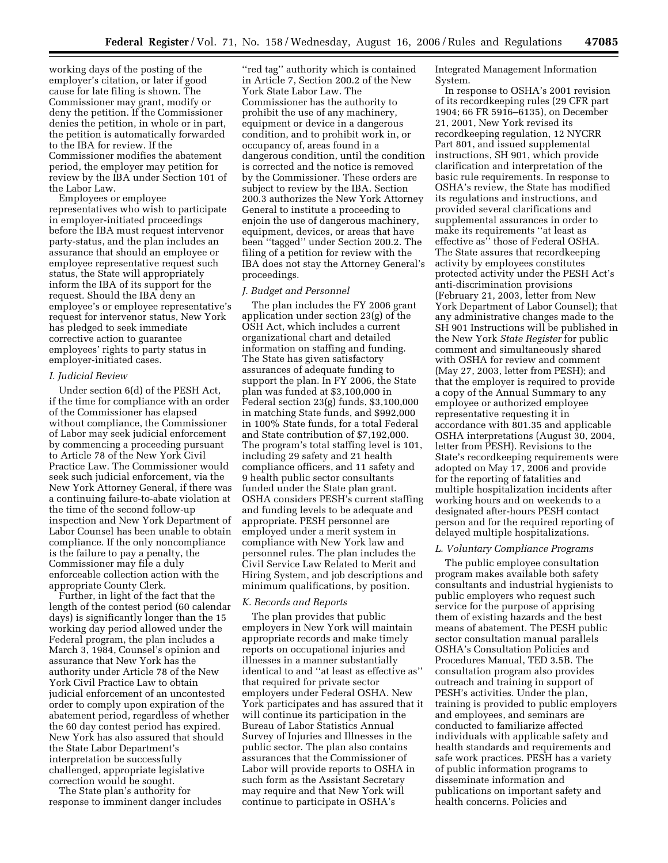working days of the posting of the employer's citation, or later if good cause for late filing is shown. The Commissioner may grant, modify or deny the petition. If the Commissioner denies the petition, in whole or in part, the petition is automatically forwarded to the IBA for review. If the Commissioner modifies the abatement period, the employer may petition for review by the IBA under Section 101 of the Labor Law.

Employees or employee representatives who wish to participate in employer-initiated proceedings before the IBA must request intervenor party-status, and the plan includes an assurance that should an employee or employee representative request such status, the State will appropriately inform the IBA of its support for the request. Should the IBA deny an employee's or employee representative's request for intervenor status, New York has pledged to seek immediate corrective action to guarantee employees' rights to party status in employer-initiated cases.

### *I. Judicial Review*

Under section 6(d) of the PESH Act, if the time for compliance with an order of the Commissioner has elapsed without compliance, the Commissioner of Labor may seek judicial enforcement by commencing a proceeding pursuant to Article 78 of the New York Civil Practice Law. The Commissioner would seek such judicial enforcement, via the New York Attorney General, if there was a continuing failure-to-abate violation at the time of the second follow-up inspection and New York Department of Labor Counsel has been unable to obtain compliance. If the only noncompliance is the failure to pay a penalty, the Commissioner may file a duly enforceable collection action with the appropriate County Clerk.

Further, in light of the fact that the length of the contest period (60 calendar days) is significantly longer than the 15 working day period allowed under the Federal program, the plan includes a March 3, 1984, Counsel's opinion and assurance that New York has the authority under Article 78 of the New York Civil Practice Law to obtain judicial enforcement of an uncontested order to comply upon expiration of the abatement period, regardless of whether the 60 day contest period has expired. New York has also assured that should the State Labor Department's interpretation be successfully challenged, appropriate legislative correction would be sought.

The State plan's authority for response to imminent danger includes

''red tag'' authority which is contained in Article 7, Section 200.2 of the New York State Labor Law. The Commissioner has the authority to prohibit the use of any machinery, equipment or device in a dangerous condition, and to prohibit work in, or occupancy of, areas found in a dangerous condition, until the condition is corrected and the notice is removed by the Commissioner. These orders are subject to review by the IBA. Section 200.3 authorizes the New York Attorney General to institute a proceeding to enjoin the use of dangerous machinery, equipment, devices, or areas that have been ''tagged'' under Section 200.2. The filing of a petition for review with the IBA does not stay the Attorney General's proceedings.

# *J. Budget and Personnel*

The plan includes the FY 2006 grant application under section 23(g) of the OSH Act, which includes a current organizational chart and detailed information on staffing and funding. The State has given satisfactory assurances of adequate funding to support the plan. In FY 2006, the State plan was funded at \$3,100,000 in Federal section 23(g) funds, \$3,100,000 in matching State funds, and \$992,000 in 100% State funds, for a total Federal and State contribution of \$7,192,000. The program's total staffing level is 101, including 29 safety and 21 health compliance officers, and 11 safety and 9 health public sector consultants funded under the State plan grant. OSHA considers PESH's current staffing and funding levels to be adequate and appropriate. PESH personnel are employed under a merit system in compliance with New York law and personnel rules. The plan includes the Civil Service Law Related to Merit and Hiring System, and job descriptions and minimum qualifications, by position.

## *K. Records and Reports*

The plan provides that public employers in New York will maintain appropriate records and make timely reports on occupational injuries and illnesses in a manner substantially identical to and ''at least as effective as'' that required for private sector employers under Federal OSHA. New York participates and has assured that it will continue its participation in the Bureau of Labor Statistics Annual Survey of Injuries and Illnesses in the public sector. The plan also contains assurances that the Commissioner of Labor will provide reports to OSHA in such form as the Assistant Secretary may require and that New York will continue to participate in OSHA's

Integrated Management Information System.

In response to OSHA's 2001 revision of its recordkeeping rules (29 CFR part 1904; 66 FR 5916–6135), on December 21, 2001, New York revised its recordkeeping regulation, 12 NYCRR Part 801, and issued supplemental instructions, SH 901, which provide clarification and interpretation of the basic rule requirements. In response to OSHA's review, the State has modified its regulations and instructions, and provided several clarifications and supplemental assurances in order to make its requirements ''at least as effective as'' those of Federal OSHA. The State assures that recordkeeping activity by employees constitutes protected activity under the PESH Act's anti-discrimination provisions (February 21, 2003, letter from New York Department of Labor Counsel); that any administrative changes made to the SH 901 Instructions will be published in the New York *State Register* for public comment and simultaneously shared with OSHA for review and comment (May 27, 2003, letter from PESH); and that the employer is required to provide a copy of the Annual Summary to any employee or authorized employee representative requesting it in accordance with 801.35 and applicable OSHA interpretations (August 30, 2004, letter from PESH). Revisions to the State's recordkeeping requirements were adopted on May 17, 2006 and provide for the reporting of fatalities and multiple hospitalization incidents after working hours and on weekends to a designated after-hours PESH contact person and for the required reporting of delayed multiple hospitalizations.

#### *L. Voluntary Compliance Programs*

The public employee consultation program makes available both safety consultants and industrial hygienists to public employers who request such service for the purpose of apprising them of existing hazards and the best means of abatement. The PESH public sector consultation manual parallels OSHA's Consultation Policies and Procedures Manual, TED 3.5B. The consultation program also provides outreach and training in support of PESH's activities. Under the plan, training is provided to public employers and employees, and seminars are conducted to familiarize affected individuals with applicable safety and health standards and requirements and safe work practices. PESH has a variety of public information programs to disseminate information and publications on important safety and health concerns. Policies and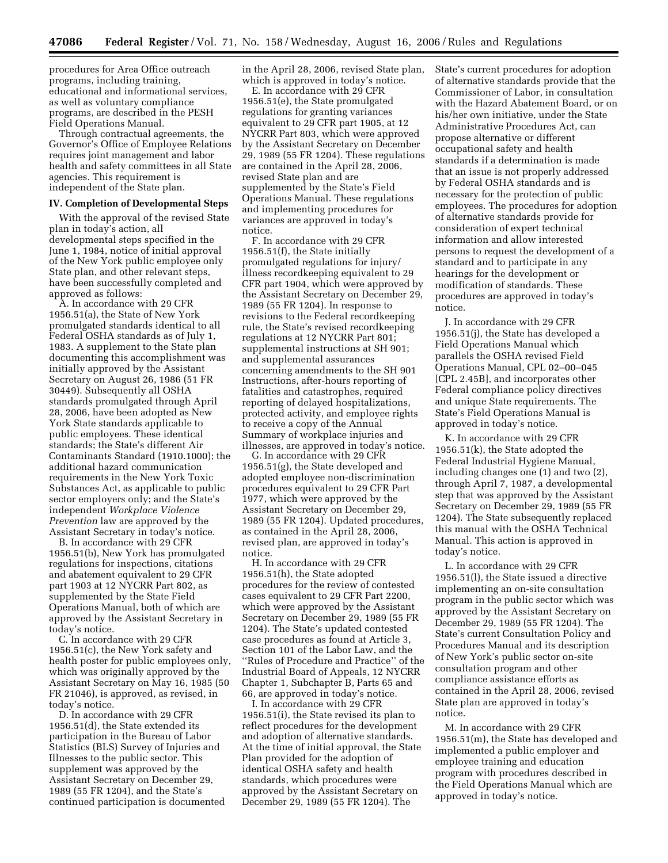procedures for Area Office outreach programs, including training, educational and informational services, as well as voluntary compliance programs, are described in the PESH Field Operations Manual.

Through contractual agreements, the Governor's Office of Employee Relations requires joint management and labor health and safety committees in all State agencies. This requirement is independent of the State plan.

#### **IV. Completion of Developmental Steps**

With the approval of the revised State plan in today's action, all developmental steps specified in the June 1, 1984, notice of initial approval of the New York public employee only State plan, and other relevant steps, have been successfully completed and approved as follows:

A. In accordance with 29 CFR 1956.51(a), the State of New York promulgated standards identical to all Federal OSHA standards as of July 1, 1983. A supplement to the State plan documenting this accomplishment was initially approved by the Assistant Secretary on August 26, 1986 (51 FR 30449). Subsequently all OSHA standards promulgated through April 28, 2006, have been adopted as New York State standards applicable to public employees. These identical standards; the State's different Air Contaminants Standard (1910.1000); the additional hazard communication requirements in the New York Toxic Substances Act, as applicable to public sector employers only; and the State's independent *Workplace Violence Prevention* law are approved by the Assistant Secretary in today's notice.

B. In accordance with 29 CFR 1956.51(b), New York has promulgated regulations for inspections, citations and abatement equivalent to 29 CFR part 1903 at 12 NYCRR Part 802, as supplemented by the State Field Operations Manual, both of which are approved by the Assistant Secretary in today's notice.

C. In accordance with 29 CFR 1956.51(c), the New York safety and health poster for public employees only, which was originally approved by the Assistant Secretary on May 16, 1985 (50 FR 21046), is approved, as revised, in today's notice.

D. In accordance with 29 CFR 1956.51(d), the State extended its participation in the Bureau of Labor Statistics (BLS) Survey of Injuries and Illnesses to the public sector. This supplement was approved by the Assistant Secretary on December 29, 1989 (55 FR 1204), and the State's continued participation is documented in the April 28, 2006, revised State plan, which is approved in today's notice.

E. In accordance with 29 CFR 1956.51(e), the State promulgated regulations for granting variances equivalent to 29 CFR part 1905, at 12 NYCRR Part 803, which were approved by the Assistant Secretary on December 29, 1989 (55 FR 1204). These regulations are contained in the April 28, 2006, revised State plan and are supplemented by the State's Field Operations Manual. These regulations and implementing procedures for variances are approved in today's notice.

F. In accordance with 29 CFR 1956.51(f), the State initially promulgated regulations for injury/ illness recordkeeping equivalent to 29 CFR part 1904, which were approved by the Assistant Secretary on December 29, 1989 (55 FR 1204). In response to revisions to the Federal recordkeeping rule, the State's revised recordkeeping regulations at 12 NYCRR Part 801; supplemental instructions at SH 901; and supplemental assurances concerning amendments to the SH 901 Instructions, after-hours reporting of fatalities and catastrophes, required reporting of delayed hospitalizations, protected activity, and employee rights to receive a copy of the Annual Summary of workplace injuries and illnesses, are approved in today's notice.

G. In accordance with 29 CFR 1956.51(g), the State developed and adopted employee non-discrimination procedures equivalent to 29 CFR Part 1977, which were approved by the Assistant Secretary on December 29, 1989 (55 FR 1204). Updated procedures, as contained in the April 28, 2006, revised plan, are approved in today's notice.

H. In accordance with 29 CFR 1956.51(h), the State adopted procedures for the review of contested cases equivalent to 29 CFR Part 2200, which were approved by the Assistant Secretary on December 29, 1989 (55 FR 1204). The State's updated contested case procedures as found at Article 3, Section 101 of the Labor Law, and the ''Rules of Procedure and Practice'' of the Industrial Board of Appeals, 12 NYCRR Chapter 1, Subchapter B, Parts 65 and 66, are approved in today's notice.

I. In accordance with 29 CFR 1956.51(i), the State revised its plan to reflect procedures for the development and adoption of alternative standards. At the time of initial approval, the State Plan provided for the adoption of identical OSHA safety and health standards, which procedures were approved by the Assistant Secretary on December 29, 1989 (55 FR 1204). The

State's current procedures for adoption of alternative standards provide that the Commissioner of Labor, in consultation with the Hazard Abatement Board, or on his/her own initiative, under the State Administrative Procedures Act, can propose alternative or different occupational safety and health standards if a determination is made that an issue is not properly addressed by Federal OSHA standards and is necessary for the protection of public employees. The procedures for adoption of alternative standards provide for consideration of expert technical information and allow interested persons to request the development of a standard and to participate in any hearings for the development or modification of standards. These procedures are approved in today's notice.

J. In accordance with 29 CFR 1956.51(j), the State has developed a Field Operations Manual which parallels the OSHA revised Field Operations Manual, CPL 02–00–045 [CPL 2.45B], and incorporates other Federal compliance policy directives and unique State requirements. The State's Field Operations Manual is approved in today's notice.

K. In accordance with 29 CFR 1956.51(k), the State adopted the Federal Industrial Hygiene Manual, including changes one (1) and two (2), through April 7, 1987, a developmental step that was approved by the Assistant Secretary on December 29, 1989 (55 FR 1204). The State subsequently replaced this manual with the OSHA Technical Manual. This action is approved in today's notice.

L. In accordance with 29 CFR 1956.51(l), the State issued a directive implementing an on-site consultation program in the public sector which was approved by the Assistant Secretary on December 29, 1989 (55 FR 1204). The State's current Consultation Policy and Procedures Manual and its description of New York's public sector on-site consultation program and other compliance assistance efforts as contained in the April 28, 2006, revised State plan are approved in today's notice.

M. In accordance with 29 CFR 1956.51(m), the State has developed and implemented a public employer and employee training and education program with procedures described in the Field Operations Manual which are approved in today's notice.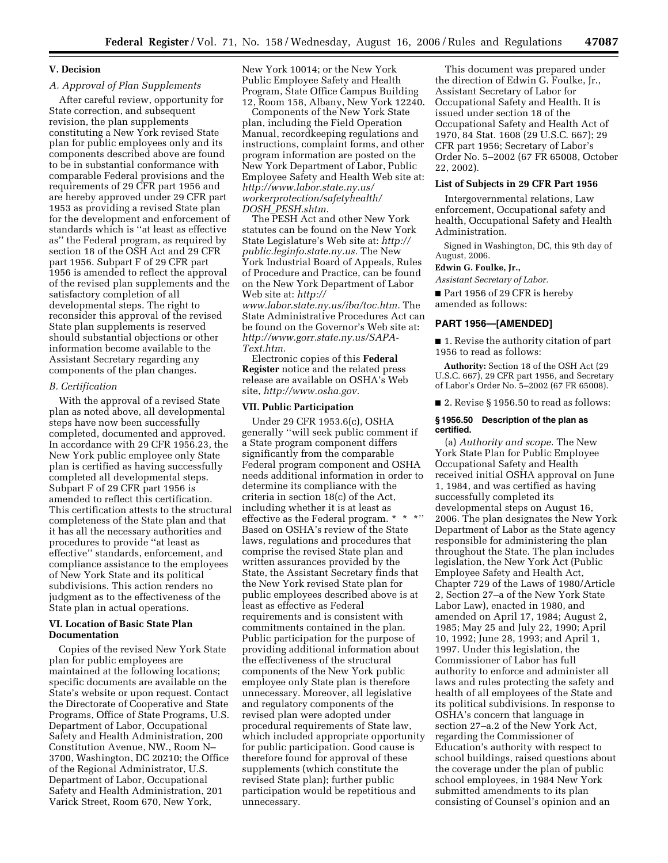# **V. Decision**

# *A. Approval of Plan Supplements*

After careful review, opportunity for State correction, and subsequent revision, the plan supplements constituting a New York revised State plan for public employees only and its components described above are found to be in substantial conformance with comparable Federal provisions and the requirements of 29 CFR part 1956 and are hereby approved under 29 CFR part 1953 as providing a revised State plan for the development and enforcement of standards which is ''at least as effective as'' the Federal program, as required by section 18 of the OSH Act and 29 CFR part 1956. Subpart F of 29 CFR part 1956 is amended to reflect the approval of the revised plan supplements and the satisfactory completion of all developmental steps. The right to reconsider this approval of the revised State plan supplements is reserved should substantial objections or other information become available to the Assistant Secretary regarding any components of the plan changes.

#### *B. Certification*

With the approval of a revised State plan as noted above, all developmental steps have now been successfully completed, documented and approved. In accordance with 29 CFR 1956.23, the New York public employee only State plan is certified as having successfully completed all developmental steps. Subpart F of 29 CFR part 1956 is amended to reflect this certification. This certification attests to the structural completeness of the State plan and that it has all the necessary authorities and procedures to provide ''at least as effective'' standards, enforcement, and compliance assistance to the employees of New York State and its political subdivisions. This action renders no judgment as to the effectiveness of the State plan in actual operations.

# **VI. Location of Basic State Plan Documentation**

Copies of the revised New York State plan for public employees are maintained at the following locations; specific documents are available on the State's website or upon request. Contact the Directorate of Cooperative and State Programs, Office of State Programs, U.S. Department of Labor, Occupational Safety and Health Administration, 200 Constitution Avenue, NW., Room N– 3700, Washington, DC 20210; the Office of the Regional Administrator, U.S. Department of Labor, Occupational Safety and Health Administration, 201 Varick Street, Room 670, New York,

New York 10014; or the New York Public Employee Safety and Health Program, State Office Campus Building 12, Room 158, Albany, New York 12240.

Components of the New York State plan, including the Field Operation Manual, recordkeeping regulations and instructions, complaint forms, and other program information are posted on the New York Department of Labor, Public Employee Safety and Health Web site at: *http://www.labor.state.ny.us/ [workerprotection/safetyhealth/](http://www.labor.state.ny.us/workerprotection/safetyhealth/DOSH_PESH.shtm)  DOSH*\_*PESH.shtm.* 

The PESH Act and other New York statutes can be found on the New York State Legislature's Web site at: *[http://](http://public.leginfo.state.ny.us) [public.leginfo.state.ny.us.](http://public.leginfo.state.ny.us)* The New York Industrial Board of Appeals, Rules of Procedure and Practice, can be found on the New York Department of Labor Web site at: *[http://](http://www.labor.state.ny.us/iba/toc.htm)  [www.labor.state.ny.us/iba/toc.htm.](http://www.labor.state.ny.us/iba/toc.htm)* The

State Administrative Procedures Act can be found on the Governor's Web site at: *[http://www.gorr.state.ny.us/SAPA-](http://www.gorr.state.ny.us/SAPA-Text.htm)Text.htm.* 

Electronic copies of this **Federal Register** notice and the related press release are available on OSHA's Web site, *[http://www.osha.gov.](http://www.osha.gov)* 

#### **VII. Public Participation**

Under 29 CFR 1953.6(c), OSHA generally ''will seek public comment if a State program component differs significantly from the comparable Federal program component and OSHA needs additional information in order to determine its compliance with the criteria in section 18(c) of the Act, including whether it is at least as effective as the Federal program. \* \* \*'' Based on OSHA's review of the State laws, regulations and procedures that comprise the revised State plan and written assurances provided by the State, the Assistant Secretary finds that the New York revised State plan for public employees described above is at least as effective as Federal requirements and is consistent with commitments contained in the plan. Public participation for the purpose of providing additional information about the effectiveness of the structural components of the New York public employee only State plan is therefore unnecessary. Moreover, all legislative and regulatory components of the revised plan were adopted under procedural requirements of State law, which included appropriate opportunity for public participation. Good cause is therefore found for approval of these supplements (which constitute the revised State plan); further public participation would be repetitious and unnecessary.

This document was prepared under the direction of Edwin G. Foulke, Jr., Assistant Secretary of Labor for Occupational Safety and Health. It is issued under section 18 of the Occupational Safety and Health Act of 1970, 84 Stat. 1608 (29 U.S.C. 667); 29 CFR part 1956; Secretary of Labor's Order No. 5–2002 (67 FR 65008, October 22, 2002).

### **List of Subjects in 29 CFR Part 1956**

Intergovernmental relations, Law enforcement, Occupational safety and health, Occupational Safety and Health Administration.

Signed in Washington, DC, this 9th day of August, 2006.

## **Edwin G. Foulke, Jr.,**

*Assistant Secretary of Labor.* 

■ Part 1956 of 29 CFR is hereby amended as follows:

# **PART 1956—[AMENDED]**

■ 1. Revise the authority citation of part 1956 to read as follows:

**Authority:** Section 18 of the OSH Act (29 U.S.C. 667), 29 CFR part 1956, and Secretary of Labor's Order No. 5–2002 (67 FR 65008).

■ 2. Revise § 1956.50 to read as follows:

#### **§ 1956.50 Description of the plan as certified.**

(a) *Authority and scope.* The New York State Plan for Public Employee Occupational Safety and Health received initial OSHA approval on June 1, 1984, and was certified as having successfully completed its developmental steps on August 16, 2006. The plan designates the New York Department of Labor as the State agency responsible for administering the plan throughout the State. The plan includes legislation, the New York Act (Public Employee Safety and Health Act, Chapter 729 of the Laws of 1980/Article 2, Section 27–a of the New York State Labor Law), enacted in 1980, and amended on April 17, 1984; August 2, 1985; May 25 and July 22, 1990; April 10, 1992; June 28, 1993; and April 1, 1997. Under this legislation, the Commissioner of Labor has full authority to enforce and administer all laws and rules protecting the safety and health of all employees of the State and its political subdivisions. In response to OSHA's concern that language in section 27–a.2 of the New York Act, regarding the Commissioner of Education's authority with respect to school buildings, raised questions about the coverage under the plan of public school employees, in 1984 New York submitted amendments to its plan consisting of Counsel's opinion and an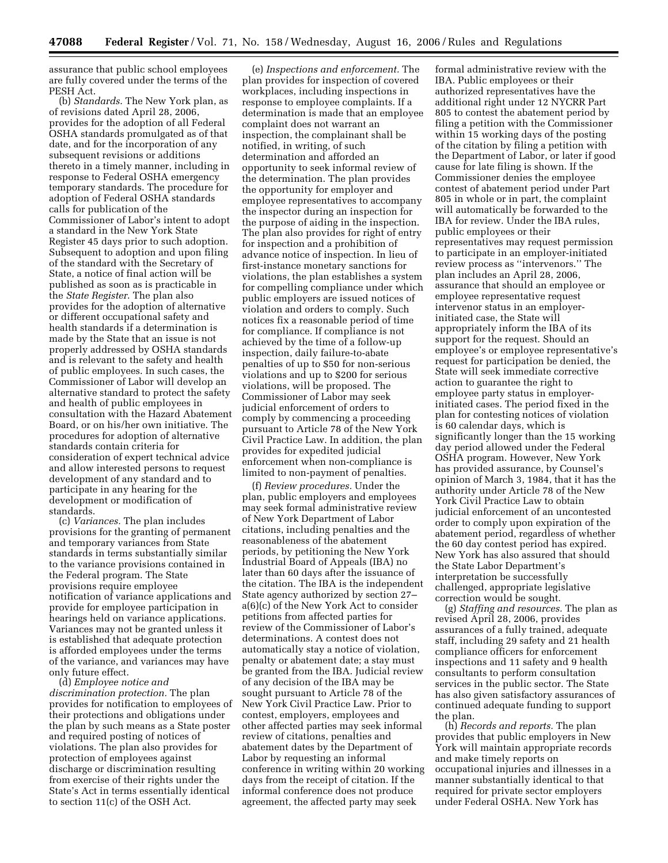assurance that public school employees are fully covered under the terms of the PESH Act.

(b) *Standards*. The New York plan, as of revisions dated April 28, 2006, provides for the adoption of all Federal OSHA standards promulgated as of that date, and for the incorporation of any subsequent revisions or additions thereto in a timely manner, including in response to Federal OSHA emergency temporary standards. The procedure for adoption of Federal OSHA standards calls for publication of the Commissioner of Labor's intent to adopt a standard in the New York State Register 45 days prior to such adoption. Subsequent to adoption and upon filing of the standard with the Secretary of State, a notice of final action will be published as soon as is practicable in the *State Register*. The plan also provides for the adoption of alternative or different occupational safety and health standards if a determination is made by the State that an issue is not properly addressed by OSHA standards and is relevant to the safety and health of public employees. In such cases, the Commissioner of Labor will develop an alternative standard to protect the safety and health of public employees in consultation with the Hazard Abatement Board, or on his/her own initiative. The procedures for adoption of alternative standards contain criteria for consideration of expert technical advice and allow interested persons to request development of any standard and to participate in any hearing for the development or modification of standards.

(c) *Variances.* The plan includes provisions for the granting of permanent and temporary variances from State standards in terms substantially similar to the variance provisions contained in the Federal program. The State provisions require employee notification of variance applications and provide for employee participation in hearings held on variance applications. Variances may not be granted unless it is established that adequate protection is afforded employees under the terms of the variance, and variances may have only future effect.

(d) *Employee notice and discrimination protection.* The plan provides for notification to employees of their protections and obligations under the plan by such means as a State poster and required posting of notices of violations. The plan also provides for protection of employees against discharge or discrimination resulting from exercise of their rights under the State's Act in terms essentially identical to section 11(c) of the OSH Act.

(e) *Inspections and enforcement.* The plan provides for inspection of covered workplaces, including inspections in response to employee complaints. If a determination is made that an employee complaint does not warrant an inspection, the complainant shall be notified, in writing, of such determination and afforded an opportunity to seek informal review of the determination. The plan provides the opportunity for employer and employee representatives to accompany the inspector during an inspection for the purpose of aiding in the inspection. The plan also provides for right of entry for inspection and a prohibition of advance notice of inspection. In lieu of first-instance monetary sanctions for violations, the plan establishes a system for compelling compliance under which public employers are issued notices of violation and orders to comply. Such notices fix a reasonable period of time for compliance. If compliance is not achieved by the time of a follow-up inspection, daily failure-to-abate penalties of up to \$50 for non-serious violations and up to \$200 for serious violations, will be proposed. The Commissioner of Labor may seek judicial enforcement of orders to comply by commencing a proceeding pursuant to Article 78 of the New York Civil Practice Law. In addition, the plan provides for expedited judicial enforcement when non-compliance is limited to non-payment of penalties.

(f) *Review procedures.* Under the plan, public employers and employees may seek formal administrative review of New York Department of Labor citations, including penalties and the reasonableness of the abatement periods, by petitioning the New York Industrial Board of Appeals (IBA) no later than 60 days after the issuance of the citation. The IBA is the independent State agency authorized by section 27– a(6)(c) of the New York Act to consider petitions from affected parties for review of the Commissioner of Labor's determinations. A contest does not automatically stay a notice of violation, penalty or abatement date; a stay must be granted from the IBA. Judicial review of any decision of the IBA may be sought pursuant to Article 78 of the New York Civil Practice Law. Prior to contest, employers, employees and other affected parties may seek informal review of citations, penalties and abatement dates by the Department of Labor by requesting an informal conference in writing within 20 working days from the receipt of citation. If the informal conference does not produce agreement, the affected party may seek

formal administrative review with the IBA. Public employees or their authorized representatives have the additional right under 12 NYCRR Part 805 to contest the abatement period by filing a petition with the Commissioner within 15 working days of the posting of the citation by filing a petition with the Department of Labor, or later if good cause for late filing is shown. If the Commissioner denies the employee contest of abatement period under Part 805 in whole or in part, the complaint will automatically be forwarded to the IBA for review. Under the IBA rules, public employees or their representatives may request permission to participate in an employer-initiated review process as ''intervenors.'' The plan includes an April 28, 2006, assurance that should an employee or employee representative request intervenor status in an employerinitiated case, the State will appropriately inform the IBA of its support for the request. Should an employee's or employee representative's request for participation be denied, the State will seek immediate corrective action to guarantee the right to employee party status in employerinitiated cases. The period fixed in the plan for contesting notices of violation is 60 calendar days, which is significantly longer than the 15 working day period allowed under the Federal OSHA program. However, New York has provided assurance, by Counsel's opinion of March 3, 1984, that it has the authority under Article 78 of the New York Civil Practice Law to obtain judicial enforcement of an uncontested order to comply upon expiration of the abatement period, regardless of whether the 60 day contest period has expired. New York has also assured that should the State Labor Department's interpretation be successfully challenged, appropriate legislative correction would be sought.

(g) *Staffing and resources.* The plan as revised April 28, 2006, provides assurances of a fully trained, adequate staff, including 29 safety and 21 health compliance officers for enforcement inspections and 11 safety and 9 health consultants to perform consultation services in the public sector. The State has also given satisfactory assurances of continued adequate funding to support the plan.

(h) *Records and reports.* The plan provides that public employers in New York will maintain appropriate records and make timely reports on occupational injuries and illnesses in a manner substantially identical to that required for private sector employers under Federal OSHA. New York has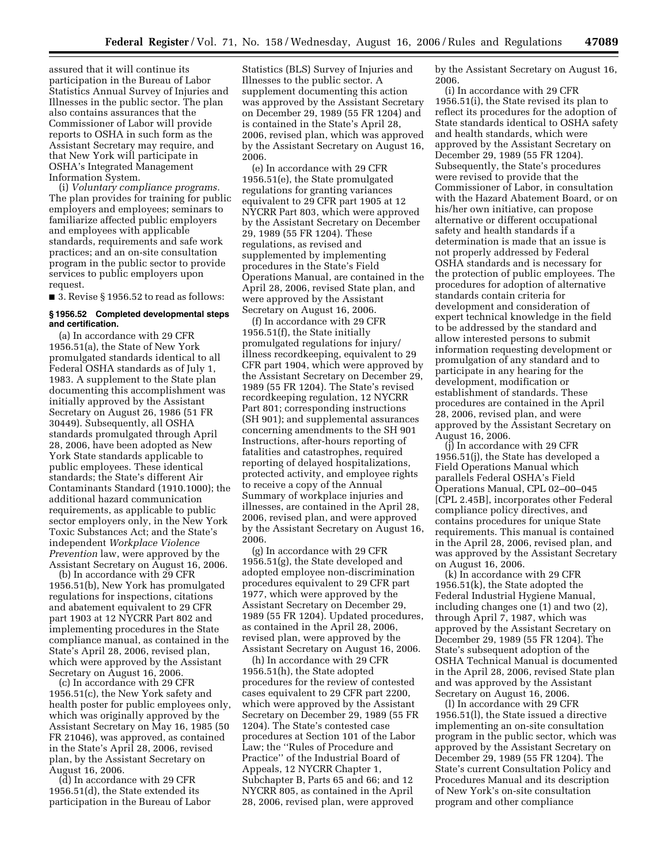assured that it will continue its participation in the Bureau of Labor Statistics Annual Survey of Injuries and Illnesses in the public sector. The plan also contains assurances that the Commissioner of Labor will provide reports to OSHA in such form as the Assistant Secretary may require, and that New York will participate in OSHA's Integrated Management Information System.

(i) *Voluntary compliance programs.*  The plan provides for training for public employers and employees; seminars to familiarize affected public employers and employees with applicable standards, requirements and safe work practices; and an on-site consultation program in the public sector to provide services to public employers upon request.

■ 3. Revise § 1956.52 to read as follows:

# **§ 1956.52 Completed developmental steps and certification.**

(a) In accordance with 29 CFR 1956.51(a), the State of New York promulgated standards identical to all Federal OSHA standards as of July 1, 1983. A supplement to the State plan documenting this accomplishment was initially approved by the Assistant Secretary on August 26, 1986 (51 FR 30449). Subsequently, all OSHA standards promulgated through April 28, 2006, have been adopted as New York State standards applicable to public employees. These identical standards; the State's different Air Contaminants Standard (1910.1000); the additional hazard communication requirements, as applicable to public sector employers only, in the New York Toxic Substances Act; and the State's independent *Workplace Violence Prevention* law, were approved by the Assistant Secretary on August 16, 2006.

(b) In accordance with 29 CFR 1956.51(b), New York has promulgated regulations for inspections, citations and abatement equivalent to 29 CFR part 1903 at 12 NYCRR Part 802 and implementing procedures in the State compliance manual, as contained in the State's April 28, 2006, revised plan, which were approved by the Assistant Secretary on August 16, 2006.

(c) In accordance with 29 CFR 1956.51(c), the New York safety and health poster for public employees only, which was originally approved by the Assistant Secretary on May 16, 1985 (50 FR 21046), was approved, as contained in the State's April 28, 2006, revised plan, by the Assistant Secretary on August 16, 2006.

(d) In accordance with 29 CFR 1956.51(d), the State extended its participation in the Bureau of Labor Statistics (BLS) Survey of Injuries and Illnesses to the public sector. A supplement documenting this action was approved by the Assistant Secretary on December 29, 1989 (55 FR 1204) and is contained in the State's April 28, 2006, revised plan, which was approved by the Assistant Secretary on August 16, 2006.

(e) In accordance with 29 CFR 1956.51(e), the State promulgated regulations for granting variances equivalent to 29 CFR part 1905 at 12 NYCRR Part 803, which were approved by the Assistant Secretary on December 29, 1989 (55 FR 1204). These regulations, as revised and supplemented by implementing procedures in the State's Field Operations Manual, are contained in the April 28, 2006, revised State plan, and were approved by the Assistant Secretary on August 16, 2006.

(f) In accordance with 29 CFR 1956.51(f), the State initially promulgated regulations for injury/ illness recordkeeping, equivalent to 29 CFR part 1904, which were approved by the Assistant Secretary on December 29, 1989 (55 FR 1204). The State's revised recordkeeping regulation, 12 NYCRR Part 801; corresponding instructions (SH 901); and supplemental assurances concerning amendments to the SH 901 Instructions, after-hours reporting of fatalities and catastrophes, required reporting of delayed hospitalizations, protected activity, and employee rights to receive a copy of the Annual Summary of workplace injuries and illnesses, are contained in the April 28, 2006, revised plan, and were approved by the Assistant Secretary on August 16, 2006.

(g) In accordance with 29 CFR 1956.51(g), the State developed and adopted employee non-discrimination procedures equivalent to 29 CFR part 1977, which were approved by the Assistant Secretary on December 29, 1989 (55 FR 1204). Updated procedures, as contained in the April 28, 2006, revised plan, were approved by the Assistant Secretary on August 16, 2006.

(h) In accordance with 29 CFR 1956.51(h), the State adopted procedures for the review of contested cases equivalent to 29 CFR part 2200, which were approved by the Assistant Secretary on December 29, 1989 (55 FR 1204). The State's contested case procedures at Section 101 of the Labor Law; the ''Rules of Procedure and Practice'' of the Industrial Board of Appeals, 12 NYCRR Chapter 1, Subchapter B, Parts 65 and 66; and 12 NYCRR 805, as contained in the April 28, 2006, revised plan, were approved

by the Assistant Secretary on August 16, 2006.

(i) In accordance with 29 CFR 1956.51(i), the State revised its plan to reflect its procedures for the adoption of State standards identical to OSHA safety and health standards, which were approved by the Assistant Secretary on December 29, 1989 (55 FR 1204). Subsequently, the State's procedures were revised to provide that the Commissioner of Labor, in consultation with the Hazard Abatement Board, or on his/her own initiative, can propose alternative or different occupational safety and health standards if a determination is made that an issue is not properly addressed by Federal OSHA standards and is necessary for the protection of public employees. The procedures for adoption of alternative standards contain criteria for development and consideration of expert technical knowledge in the field to be addressed by the standard and allow interested persons to submit information requesting development or promulgation of any standard and to participate in any hearing for the development, modification or establishment of standards. These procedures are contained in the April 28, 2006, revised plan, and were approved by the Assistant Secretary on August 16, 2006.

(j) In accordance with 29 CFR 1956.51(j), the State has developed a Field Operations Manual which parallels Federal OSHA's Field Operations Manual, CPL 02–00–045 [CPL 2.45B], incorporates other Federal compliance policy directives, and contains procedures for unique State requirements. This manual is contained in the April 28, 2006, revised plan, and was approved by the Assistant Secretary on August 16, 2006.

(k) In accordance with 29 CFR 1956.51(k), the State adopted the Federal Industrial Hygiene Manual, including changes one (1) and two (2), through April 7, 1987, which was approved by the Assistant Secretary on December 29, 1989 (55 FR 1204). The State's subsequent adoption of the OSHA Technical Manual is documented in the April 28, 2006, revised State plan and was approved by the Assistant Secretary on August 16, 2006.

(l) In accordance with 29 CFR 1956.51(l), the State issued a directive implementing an on-site consultation program in the public sector, which was approved by the Assistant Secretary on December 29, 1989 (55 FR 1204). The State's current Consultation Policy and Procedures Manual and its description of New York's on-site consultation program and other compliance